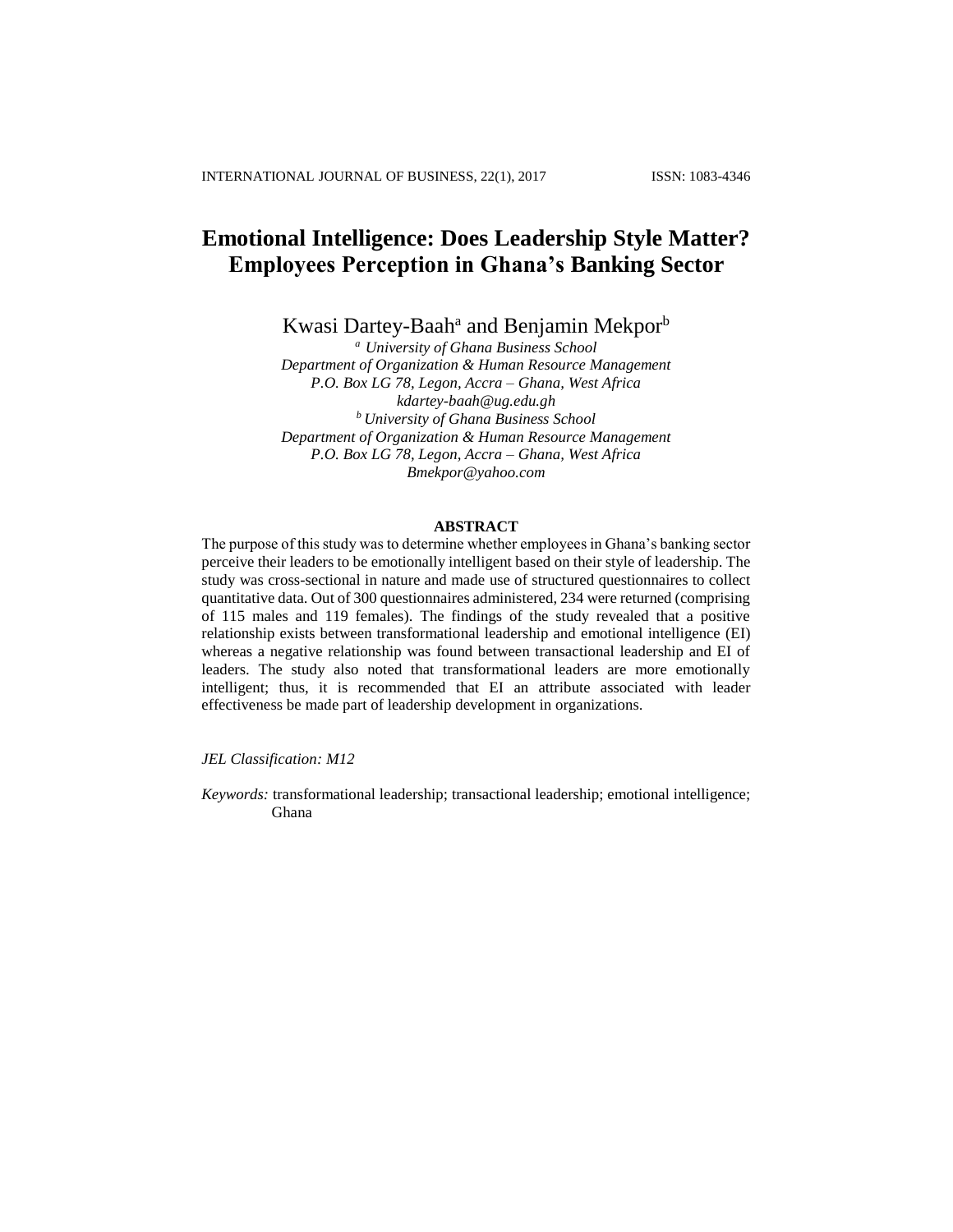# **Emotional Intelligence: Does Leadership Style Matter? Employees Perception in Ghana's Banking Sector**

Kwasi Dartey-Baah<sup>a</sup> and Benjamin Mekpor<sup>b</sup>

*<sup>a</sup> University of Ghana Business School Department of Organization & Human Resource Management P.O. Box LG 78, Legon, Accra – Ghana, West Africa [kdartey-baah@ug.edu.gh](mailto:kdartey-baah@ug.edu.gh) <sup>b</sup>University of Ghana Business School Department of Organization & Human Resource Management P.O. Box LG 78, Legon, Accra – Ghana, West Africa Bmekpor@yahoo.com*

### **ABSTRACT**

The purpose of this study was to determine whether employees in Ghana's banking sector perceive their leaders to be emotionally intelligent based on their style of leadership. The study was cross-sectional in nature and made use of structured questionnaires to collect quantitative data. Out of 300 questionnaires administered, 234 were returned (comprising of 115 males and 119 females). The findings of the study revealed that a positive relationship exists between transformational leadership and emotional intelligence (EI) whereas a negative relationship was found between transactional leadership and EI of leaders. The study also noted that transformational leaders are more emotionally intelligent; thus, it is recommended that EI an attribute associated with leader effectiveness be made part of leadership development in organizations.

*JEL Classification: M12*

*Keywords:* transformational leadership; transactional leadership; emotional intelligence; Ghana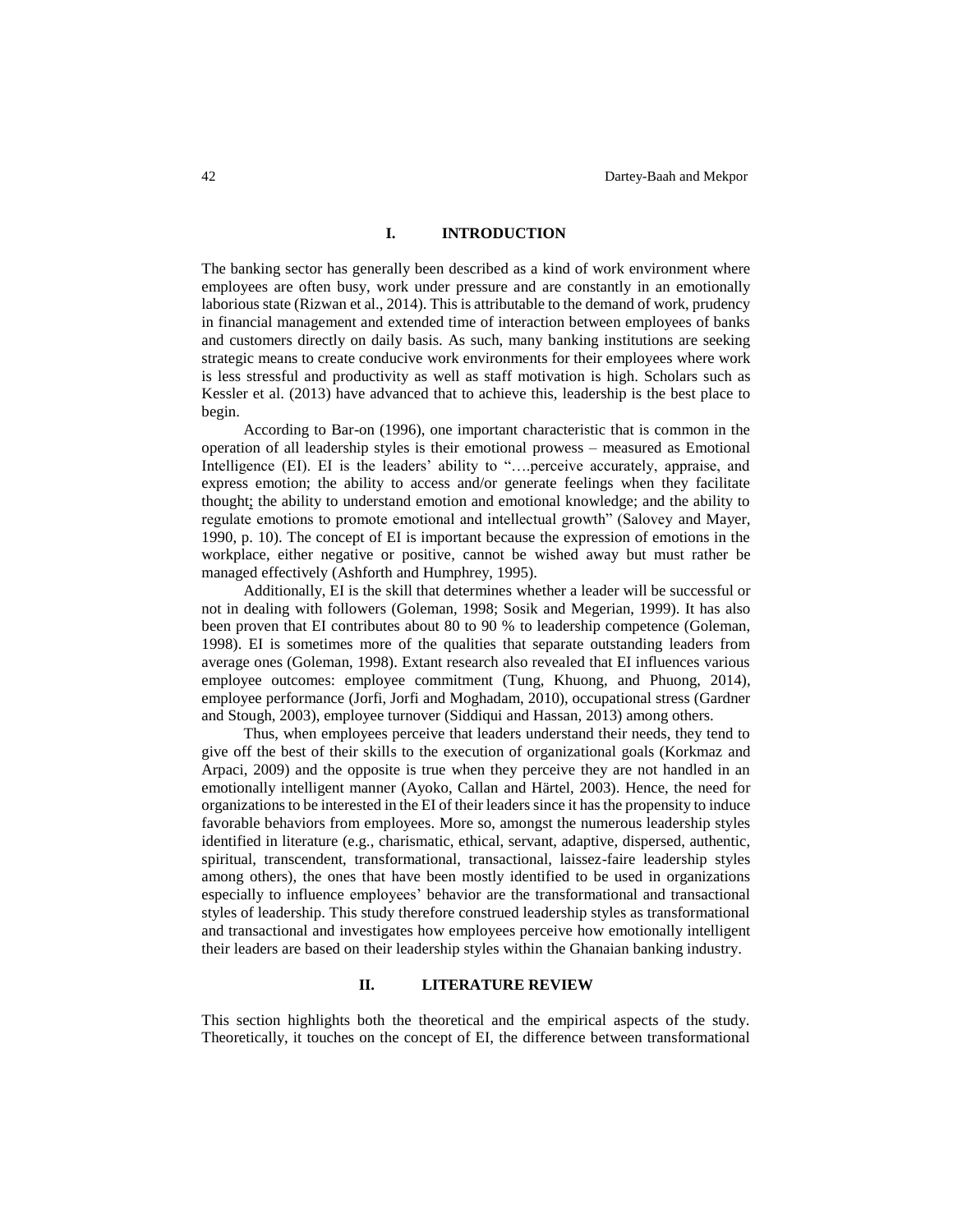### **I. INTRODUCTION**

The banking sector has generally been described as a kind of work environment where employees are often busy, work under pressure and are constantly in an emotionally laborious state (Rizwan et al., 2014). This is attributable to the demand of work, prudency in financial management and extended time of interaction between employees of banks and customers directly on daily basis. As such, many banking institutions are seeking strategic means to create conducive work environments for their employees where work is less stressful and productivity as well as staff motivation is high. Scholars such as Kessler et al. (2013) have advanced that to achieve this, leadership is the best place to begin.

According to Bar-on (1996), one important characteristic that is common in the operation of all leadership styles is their emotional prowess – measured as Emotional Intelligence (EI). EI is the leaders' ability to "….perceive accurately, appraise, and express emotion; the ability to access and/or generate feelings when they facilitate thought; the ability to understand emotion and emotional knowledge; and the ability to regulate emotions to promote emotional and intellectual growth" (Salovey and Mayer, 1990, p. 10). The concept of EI is important because the expression of emotions in the workplace, either negative or positive, cannot be wished away but must rather be managed effectively (Ashforth and Humphrey, 1995).

Additionally, EI is the skill that determines whether a leader will be successful or not in dealing with followers (Goleman, 1998; Sosik and Megerian, 1999). It has also been proven that EI contributes about 80 to 90 % to leadership competence (Goleman, 1998). EI is sometimes more of the qualities that separate outstanding leaders from average ones (Goleman, 1998). Extant research also revealed that EI influences various employee outcomes: employee commitment (Tung, Khuong, and Phuong, 2014), employee performance (Jorfi, Jorfi and Moghadam, 2010), occupational stress (Gardner and Stough, 2003), employee turnover (Siddiqui and Hassan, 2013) among others.

Thus, when employees perceive that leaders understand their needs, they tend to give off the best of their skills to the execution of organizational goals (Korkmaz and Arpaci, 2009) and the opposite is true when they perceive they are not handled in an emotionally intelligent manner (Ayoko, Callan and Härtel, 2003). Hence, the need for organizations to be interested in the EI of their leaders since it has the propensity to induce favorable behaviors from employees. More so, amongst the numerous leadership styles identified in literature (e.g., charismatic, ethical, servant, adaptive, dispersed, authentic, spiritual, transcendent, transformational, transactional, laissez-faire leadership styles among others), the ones that have been mostly identified to be used in organizations especially to influence employees' behavior are the transformational and transactional styles of leadership. This study therefore construed leadership styles as transformational and transactional and investigates how employees perceive how emotionally intelligent their leaders are based on their leadership styles within the Ghanaian banking industry.

### **II. LITERATURE REVIEW**

This section highlights both the theoretical and the empirical aspects of the study. Theoretically, it touches on the concept of EI, the difference between transformational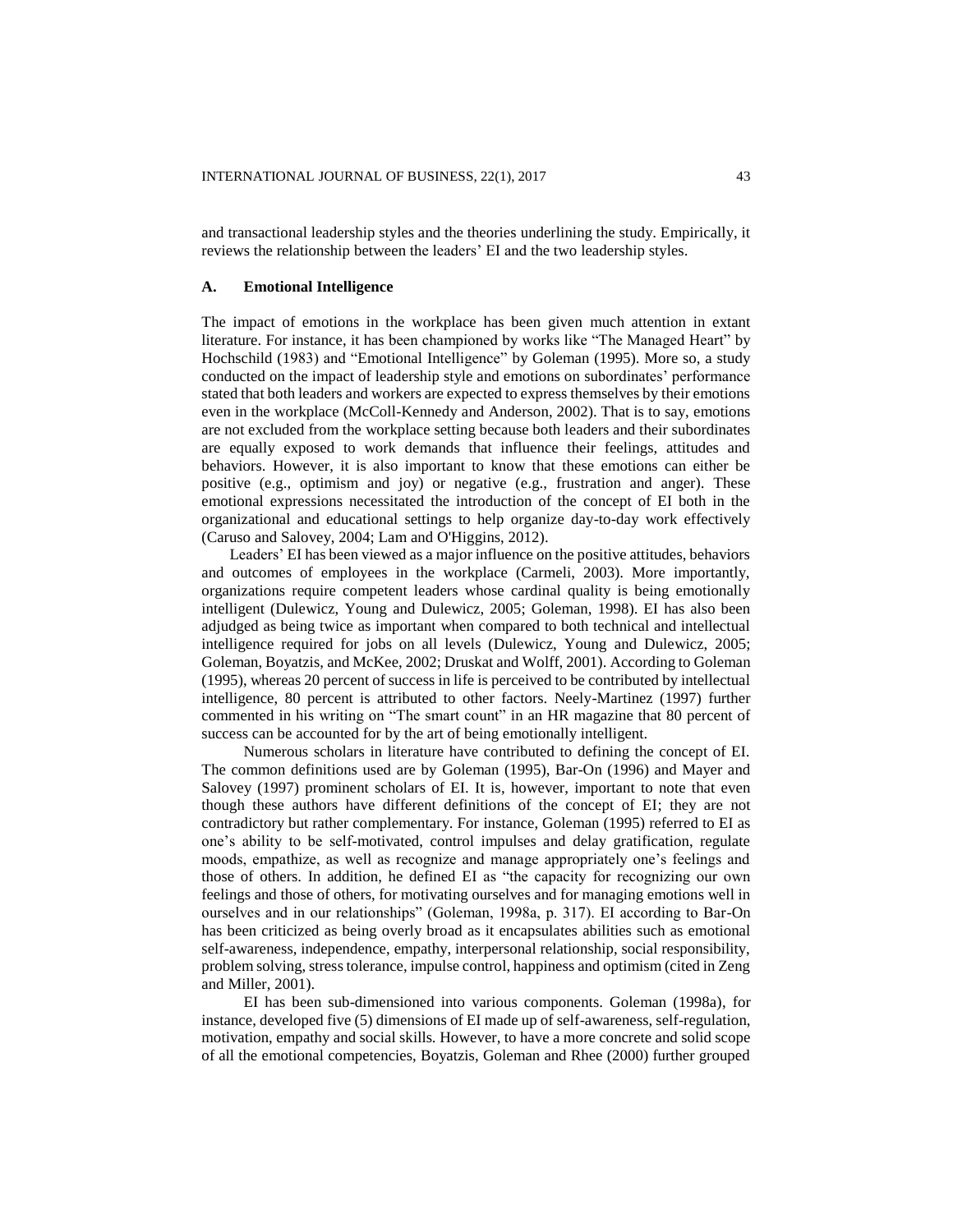and transactional leadership styles and the theories underlining the study. Empirically, it reviews the relationship between the leaders' EI and the two leadership styles.

### **A. Emotional Intelligence**

The impact of emotions in the workplace has been given much attention in extant literature. For instance, it has been championed by works like "The Managed Heart" by Hochschild (1983) and "Emotional Intelligence" by Goleman (1995). More so, a study conducted on the impact of leadership style and emotions on subordinates' performance stated that both leaders and workers are expected to express themselves by their emotions even in the workplace (McColl-Kennedy and Anderson, 2002). That is to say, emotions are not excluded from the workplace setting because both leaders and their subordinates are equally exposed to work demands that influence their feelings, attitudes and behaviors. However, it is also important to know that these emotions can either be positive (e.g., optimism and joy) or negative (e.g., frustration and anger). These emotional expressions necessitated the introduction of the concept of EI both in the organizational and educational settings to help organize day-to-day work effectively (Caruso and Salovey, 2004; Lam and O'Higgins, 2012).

Leaders' EI has been viewed as a major influence on the positive attitudes, behaviors and outcomes of employees in the workplace (Carmeli, 2003). More importantly, organizations require competent leaders whose cardinal quality is being emotionally intelligent (Dulewicz, Young and Dulewicz, 2005; Goleman, 1998). EI has also been adjudged as being twice as important when compared to both technical and intellectual intelligence required for jobs on all levels (Dulewicz, Young and Dulewicz, 2005; Goleman, Boyatzis, and McKee, 2002; Druskat and Wolff, 2001). According to Goleman (1995), whereas 20 percent of success in life is perceived to be contributed by intellectual intelligence, 80 percent is attributed to other factors. Neely-Martinez (1997) further commented in his writing on "The smart count" in an HR magazine that 80 percent of success can be accounted for by the art of being emotionally intelligent.

Numerous scholars in literature have contributed to defining the concept of EI. The common definitions used are by Goleman (1995), Bar-On (1996) and Mayer and Salovey (1997) prominent scholars of EI. It is, however, important to note that even though these authors have different definitions of the concept of EI; they are not contradictory but rather complementary. For instance, Goleman (1995) referred to EI as one's ability to be self-motivated, control impulses and delay gratification, regulate moods, empathize, as well as recognize and manage appropriately one's feelings and those of others. In addition, he defined EI as "the capacity for recognizing our own feelings and those of others, for motivating ourselves and for managing emotions well in ourselves and in our relationships" (Goleman, 1998a, p. 317). EI according to Bar-On has been criticized as being overly broad as it encapsulates abilities such as emotional self-awareness, independence, empathy, interpersonal relationship, social responsibility, problem solving, stress tolerance, impulse control, happiness and optimism (cited in Zeng and Miller, 2001).

EI has been sub-dimensioned into various components. Goleman (1998a), for instance, developed five (5) dimensions of EI made up of self-awareness, self-regulation, motivation, empathy and social skills. However, to have a more concrete and solid scope of all the emotional competencies, Boyatzis, Goleman and Rhee (2000) further grouped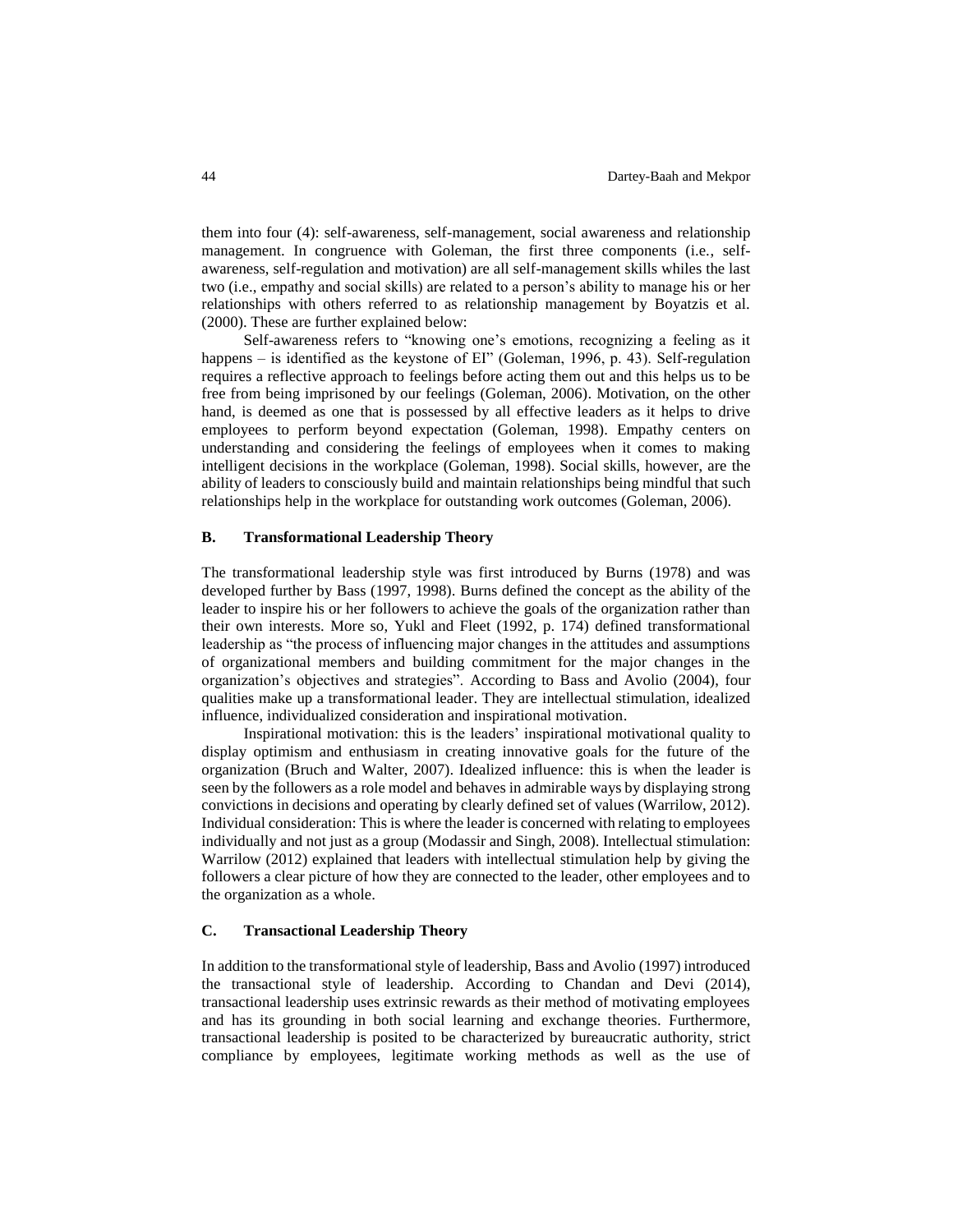them into four (4): self-awareness, self-management, social awareness and relationship management. In congruence with Goleman, the first three components (i.e., selfawareness, self-regulation and motivation) are all self-management skills whiles the last two (i.e., empathy and social skills) are related to a person's ability to manage his or her relationships with others referred to as relationship management by Boyatzis et al. (2000). These are further explained below:

Self-awareness refers to "knowing one's emotions, recognizing a feeling as it happens – is identified as the keystone of EI" (Goleman, 1996, p. 43). Self-regulation requires a reflective approach to feelings before acting them out and this helps us to be free from being imprisoned by our feelings (Goleman, 2006). Motivation, on the other hand, is deemed as one that is possessed by all effective leaders as it helps to drive employees to perform beyond expectation (Goleman, 1998). Empathy centers on understanding and considering the feelings of employees when it comes to making intelligent decisions in the workplace (Goleman, 1998). Social skills, however, are the ability of leaders to consciously build and maintain relationships being mindful that such relationships help in the workplace for outstanding work outcomes (Goleman, 2006).

### **B. Transformational Leadership Theory**

The transformational leadership style was first introduced by Burns (1978) and was developed further by Bass (1997, 1998). Burns defined the concept as the ability of the leader to inspire his or her followers to achieve the goals of the organization rather than their own interests. More so, Yukl and Fleet (1992, p. 174) defined transformational leadership as "the process of influencing major changes in the attitudes and assumptions of organizational members and building commitment for the major changes in the organization's objectives and strategies". According to Bass and Avolio (2004), four qualities make up a transformational leader. They are intellectual stimulation, idealized influence, individualized consideration and inspirational motivation.

Inspirational motivation: this is the leaders' inspirational motivational quality to display optimism and enthusiasm in creating innovative goals for the future of the organization (Bruch and Walter, 2007). Idealized influence: this is when the leader is seen by the followers as a role model and behaves in admirable ways by displaying strong convictions in decisions and operating by clearly defined set of values (Warrilow, 2012). Individual consideration: This is where the leader is concerned with relating to employees individually and not just as a group (Modassir and Singh, 2008). Intellectual stimulation: Warrilow (2012) explained that leaders with intellectual stimulation help by giving the followers a clear picture of how they are connected to the leader, other employees and to the organization as a whole.

### **C. Transactional Leadership Theory**

In addition to the transformational style of leadership, Bass and Avolio (1997) introduced the transactional style of leadership. According to Chandan and Devi (2014), transactional leadership uses extrinsic rewards as their method of motivating employees and has its grounding in both social learning and exchange theories. Furthermore, transactional leadership is posited to be characterized by bureaucratic authority, strict compliance by employees, legitimate working methods as well as the use of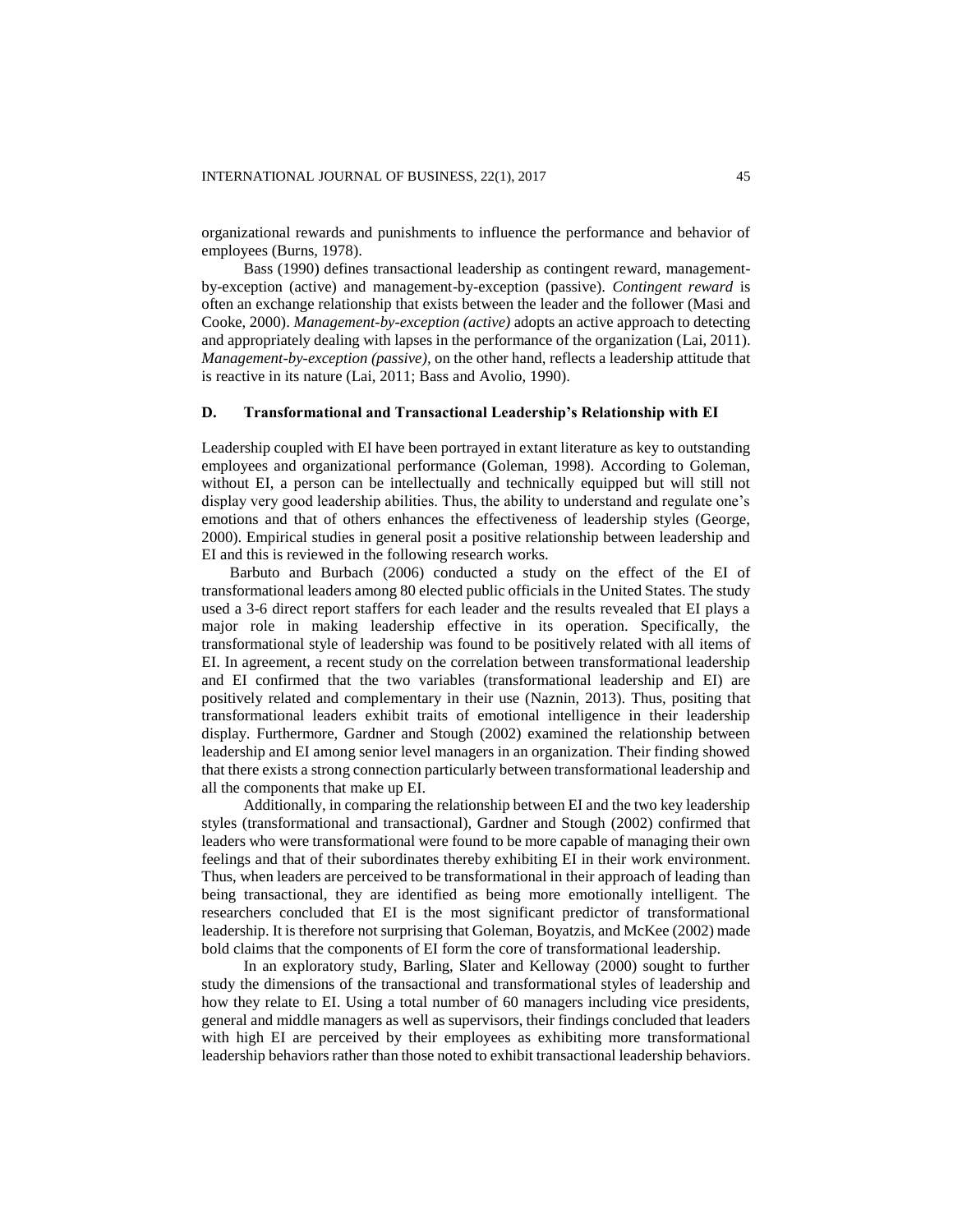organizational rewards and punishments to influence the performance and behavior of employees (Burns, 1978).

Bass (1990) defines transactional leadership as contingent reward, managementby-exception (active) and management-by-exception (passive). *Contingent reward* is often an exchange relationship that exists between the leader and the follower (Masi and Cooke, 2000). *Management-by-exception (active)* adopts an active approach to detecting and appropriately dealing with lapses in the performance of the organization (Lai, 2011). *Management-by-exception (passive),* on the other hand, reflects a leadership attitude that is reactive in its nature (Lai, 2011; Bass and Avolio, 1990).

### **D. Transformational and Transactional Leadership's Relationship with EI**

Leadership coupled with EI have been portrayed in extant literature as key to outstanding employees and organizational performance (Goleman, 1998). According to Goleman, without EI, a person can be intellectually and technically equipped but will still not display very good leadership abilities. Thus, the ability to understand and regulate one's emotions and that of others enhances the effectiveness of leadership styles (George, 2000). Empirical studies in general posit a positive relationship between leadership and EI and this is reviewed in the following research works.

Barbuto and Burbach (2006) conducted a study on the effect of the EI of transformational leaders among 80 elected public officials in the United States. The study used a 3-6 direct report staffers for each leader and the results revealed that EI plays a major role in making leadership effective in its operation. Specifically, the transformational style of leadership was found to be positively related with all items of EI. In agreement, a recent study on the correlation between transformational leadership and EI confirmed that the two variables (transformational leadership and EI) are positively related and complementary in their use (Naznin, 2013). Thus, positing that transformational leaders exhibit traits of emotional intelligence in their leadership display. Furthermore, Gardner and Stough (2002) examined the relationship between leadership and EI among senior level managers in an organization. Their finding showed that there exists a strong connection particularly between transformational leadership and all the components that make up EI.

Additionally, in comparing the relationship between EI and the two key leadership styles (transformational and transactional), Gardner and Stough (2002) confirmed that leaders who were transformational were found to be more capable of managing their own feelings and that of their subordinates thereby exhibiting EI in their work environment. Thus, when leaders are perceived to be transformational in their approach of leading than being transactional, they are identified as being more emotionally intelligent. The researchers concluded that EI is the most significant predictor of transformational leadership. It is therefore not surprising that Goleman, Boyatzis, and McKee (2002) made bold claims that the components of EI form the core of transformational leadership.

In an exploratory study, Barling, Slater and Kelloway (2000) sought to further study the dimensions of the transactional and transformational styles of leadership and how they relate to EI. Using a total number of 60 managers including vice presidents, general and middle managers as well as supervisors, their findings concluded that leaders with high EI are perceived by their employees as exhibiting more transformational leadership behaviors rather than those noted to exhibit transactional leadership behaviors.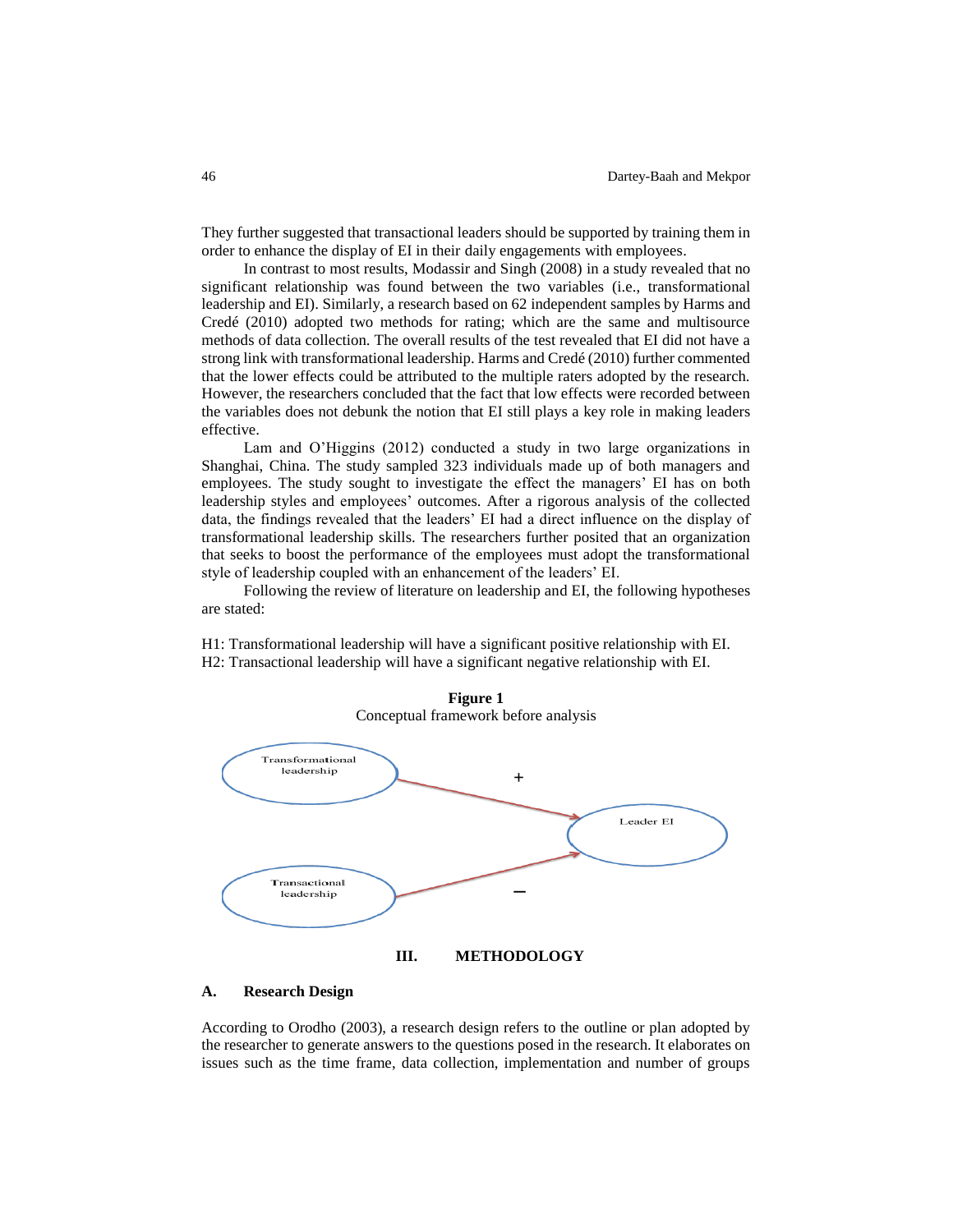They further suggested that transactional leaders should be supported by training them in order to enhance the display of EI in their daily engagements with employees.

In contrast to most results, Modassir and Singh (2008) in a study revealed that no significant relationship was found between the two variables (i.e., transformational leadership and EI). Similarly, a research based on 62 independent samples by Harms and Credé (2010) adopted two methods for rating; which are the same and multisource methods of data collection. The overall results of the test revealed that EI did not have a strong link with transformational leadership. Harms and Credé (2010) further commented that the lower effects could be attributed to the multiple raters adopted by the research. However, the researchers concluded that the fact that low effects were recorded between the variables does not debunk the notion that EI still plays a key role in making leaders effective.

Lam and O'Higgins (2012) conducted a study in two large organizations in Shanghai, China. The study sampled 323 individuals made up of both managers and employees. The study sought to investigate the effect the managers' EI has on both leadership styles and employees' outcomes. After a rigorous analysis of the collected data, the findings revealed that the leaders' EI had a direct influence on the display of transformational leadership skills. The researchers further posited that an organization that seeks to boost the performance of the employees must adopt the transformational style of leadership coupled with an enhancement of the leaders' EI.

Following the review of literature on leadership and EI, the following hypotheses are stated:

H1: Transformational leadership will have a significant positive relationship with EI. H2: Transactional leadership will have a significant negative relationship with EI.



#### **A. Research Design**

According to Orodho (2003), a research design refers to the outline or plan adopted by the researcher to generate answers to the questions posed in the research. It elaborates on issues such as the time frame, data collection, implementation and number of groups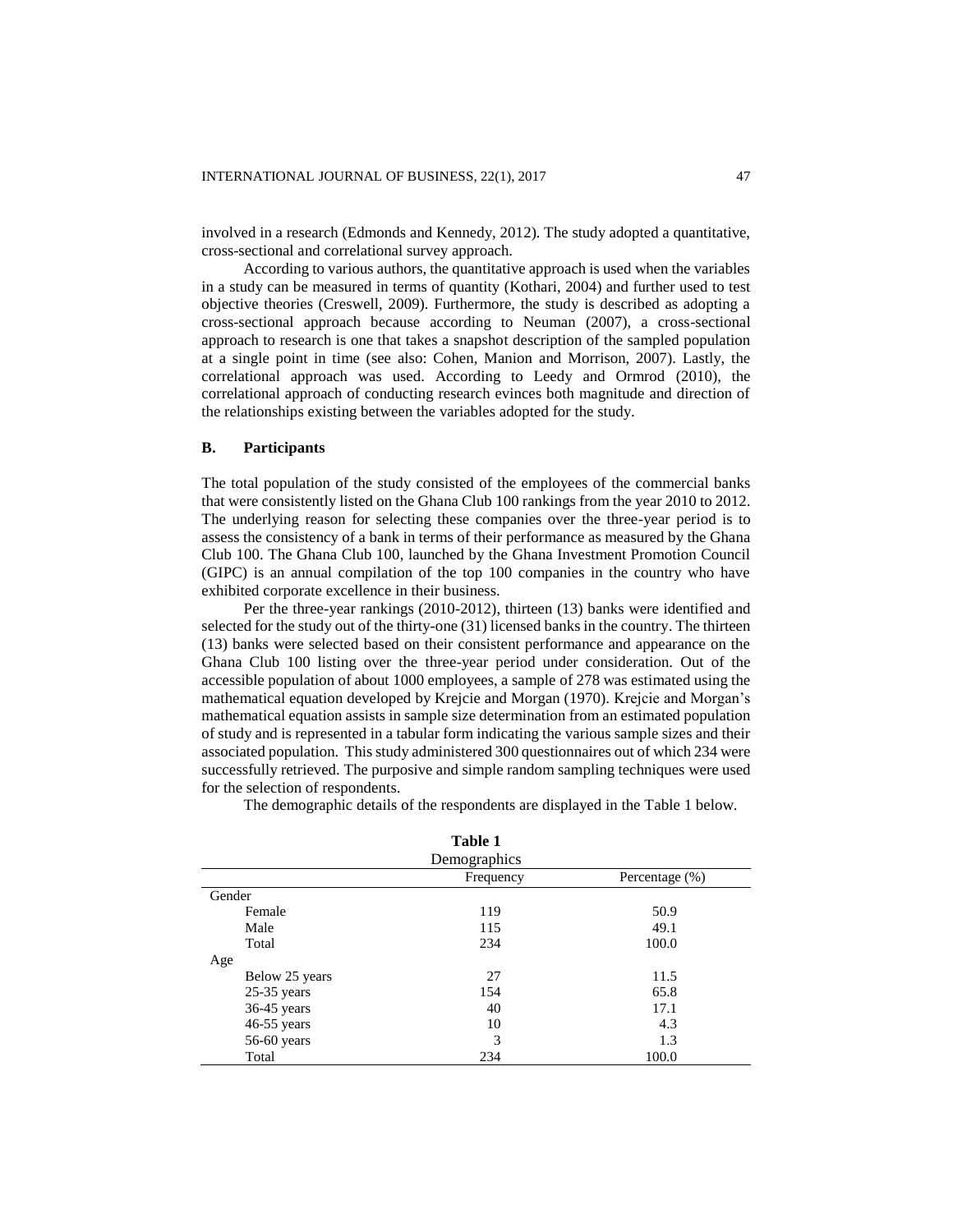involved in a research (Edmonds and Kennedy, 2012). The study adopted a quantitative, cross-sectional and correlational survey approach.

According to various authors, the quantitative approach is used when the variables in a study can be measured in terms of quantity (Kothari, 2004) and further used to test objective theories (Creswell, 2009). Furthermore, the study is described as adopting a cross-sectional approach because according to Neuman (2007), a cross-sectional approach to research is one that takes a snapshot description of the sampled population at a single point in time (see also: Cohen, Manion and Morrison, 2007). Lastly, the correlational approach was used. According to Leedy and Ormrod (2010), the correlational approach of conducting research evinces both magnitude and direction of the relationships existing between the variables adopted for the study.

### **B. Participants**

The total population of the study consisted of the employees of the commercial banks that were consistently listed on the Ghana Club 100 rankings from the year 2010 to 2012. The underlying reason for selecting these companies over the three-year period is to assess the consistency of a bank in terms of their performance as measured by the Ghana Club 100. The Ghana Club 100, launched by the Ghana Investment Promotion Council (GIPC) is an annual compilation of the top 100 companies in the country who have exhibited corporate excellence in their business.

Per the three-year rankings (2010-2012), thirteen (13) banks were identified and selected for the study out of the thirty-one (31) licensed banks in the country. The thirteen (13) banks were selected based on their consistent performance and appearance on the Ghana Club 100 listing over the three-year period under consideration. Out of the accessible population of about 1000 employees, a sample of 278 was estimated using the mathematical equation developed by Krejcie and Morgan (1970). Krejcie and Morgan's mathematical equation assists in sample size determination from an estimated population of study and is represented in a tabular form indicating the various sample sizes and their associated population. This study administered 300 questionnaires out of which 234 were successfully retrieved. The purposive and simple random sampling techniques were used for the selection of respondents.

The demographic details of the respondents are displayed in the Table 1 below.

| Table 1        |           |                   |  |  |  |  |  |
|----------------|-----------|-------------------|--|--|--|--|--|
| Demographics   |           |                   |  |  |  |  |  |
|                | Frequency | Percentage $(\%)$ |  |  |  |  |  |
| Gender         |           |                   |  |  |  |  |  |
| Female         | 119       | 50.9              |  |  |  |  |  |
| Male           | 115       | 49.1              |  |  |  |  |  |
| Total          | 234       | 100.0             |  |  |  |  |  |
| Age            |           |                   |  |  |  |  |  |
| Below 25 years | 27        | 11.5              |  |  |  |  |  |
| $25-35$ years  | 154       | 65.8              |  |  |  |  |  |
| $36-45$ years  | 40        | 17.1              |  |  |  |  |  |
| $46-55$ years  | 10        | 4.3               |  |  |  |  |  |
| $56-60$ years  | 3         | 1.3               |  |  |  |  |  |
| Total          | 234       | 100.0             |  |  |  |  |  |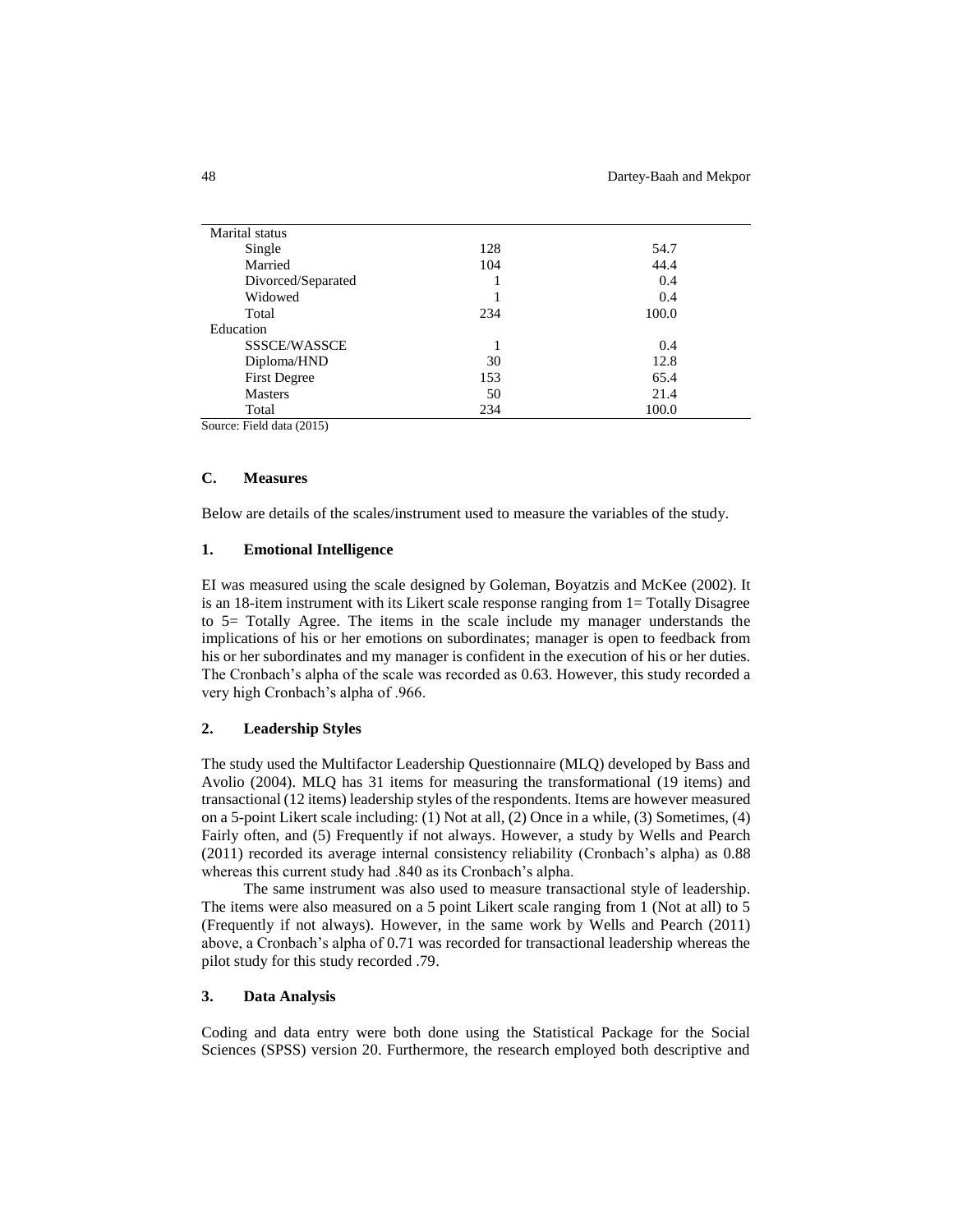| Marital status      |     |       |
|---------------------|-----|-------|
| Single              | 128 | 54.7  |
| Married             | 104 | 44.4  |
| Divorced/Separated  |     | 0.4   |
| Widowed             |     | 0.4   |
| Total               | 234 | 100.0 |
| Education           |     |       |
| SSSCE/WASSCE        |     | 0.4   |
| Diploma/HND         | 30  | 12.8  |
| <b>First Degree</b> | 153 | 65.4  |
| <b>Masters</b>      | 50  | 21.4  |
| Total               | 234 | 100.0 |
|                     |     |       |

Source: Field data (2015)

### **C. Measures**

Below are details of the scales/instrument used to measure the variables of the study.

### **1. Emotional Intelligence**

EI was measured using the scale designed by Goleman, Boyatzis and McKee (2002). It is an 18-item instrument with its Likert scale response ranging from 1= Totally Disagree to 5= Totally Agree. The items in the scale include my manager understands the implications of his or her emotions on subordinates; manager is open to feedback from his or her subordinates and my manager is confident in the execution of his or her duties. The Cronbach's alpha of the scale was recorded as 0.63. However, this study recorded a very high Cronbach's alpha of .966.

## **2. Leadership Styles**

The study used the Multifactor Leadership Questionnaire (MLQ) developed by Bass and Avolio (2004). MLQ has 31 items for measuring the transformational (19 items) and transactional (12 items) leadership styles of the respondents. Items are however measured on a 5-point Likert scale including: (1) Not at all, (2) Once in a while, (3) Sometimes, (4) Fairly often, and (5) Frequently if not always. However, a study by Wells and Pearch (2011) recorded its average internal consistency reliability (Cronbach's alpha) as 0.88 whereas this current study had .840 as its Cronbach's alpha.

The same instrument was also used to measure transactional style of leadership. The items were also measured on a 5 point Likert scale ranging from 1 (Not at all) to 5 (Frequently if not always). However, in the same work by Wells and Pearch (2011) above, a Cronbach's alpha of 0.71 was recorded for transactional leadership whereas the pilot study for this study recorded .79.

### **3. Data Analysis**

Coding and data entry were both done using the Statistical Package for the Social Sciences (SPSS) version 20. Furthermore, the research employed both descriptive and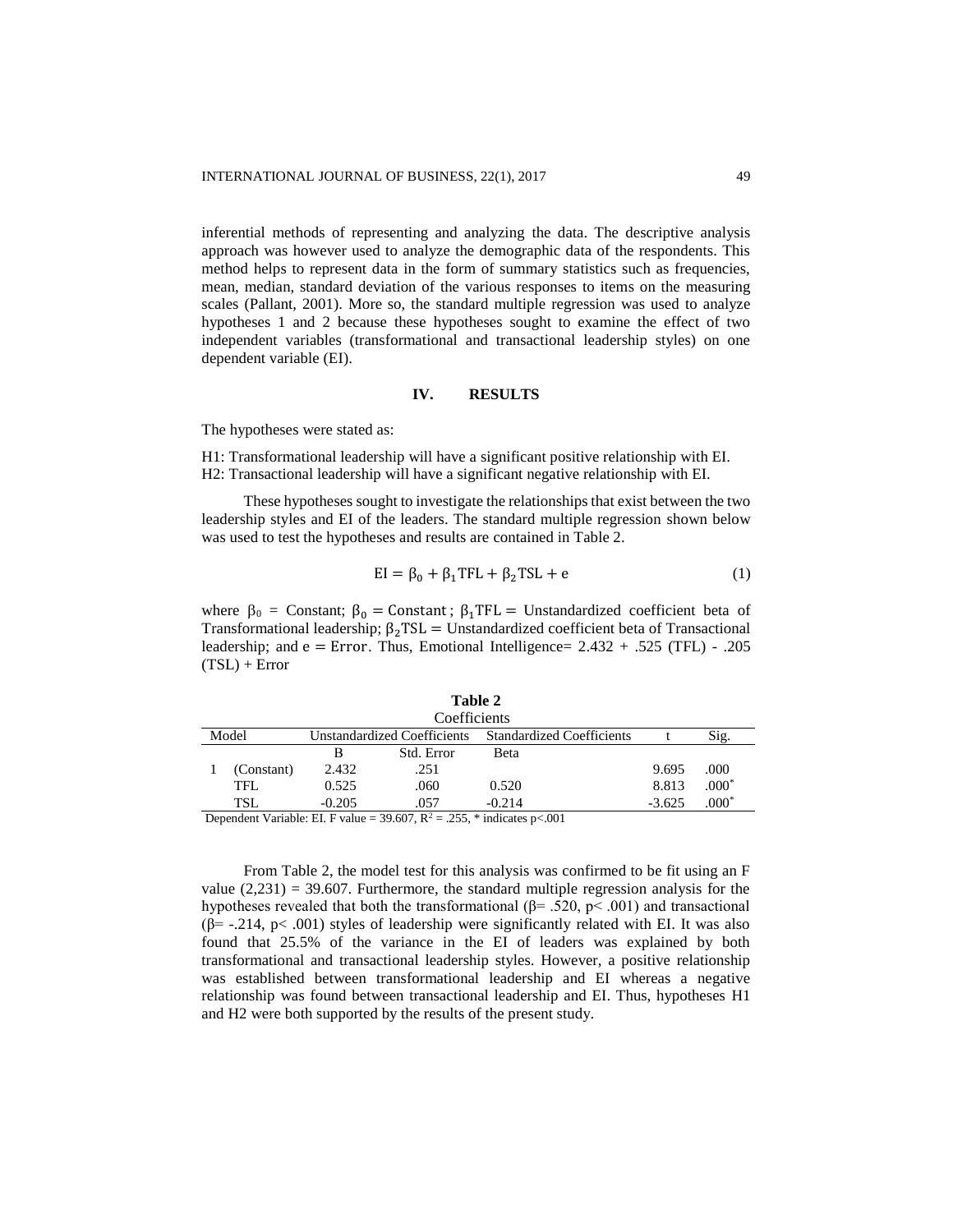inferential methods of representing and analyzing the data. The descriptive analysis approach was however used to analyze the demographic data of the respondents. This method helps to represent data in the form of summary statistics such as frequencies, mean, median, standard deviation of the various responses to items on the measuring scales (Pallant, 2001). More so, the standard multiple regression was used to analyze hypotheses 1 and 2 because these hypotheses sought to examine the effect of two independent variables (transformational and transactional leadership styles) on one dependent variable (EI).

### **IV. RESULTS**

The hypotheses were stated as:

H1: Transformational leadership will have a significant positive relationship with EI. H2: Transactional leadership will have a significant negative relationship with EI.

These hypotheses sought to investigate the relationships that exist between the two leadership styles and EI of the leaders. The standard multiple regression shown below was used to test the hypotheses and results are contained in Table 2.

$$
EI = \beta_0 + \beta_1 TFL + \beta_2 TSL + e \tag{1}
$$

where  $\beta_0$  = Constant;  $\beta_0$  = Constant;  $\beta_1$ TFL = Unstandardized coefficient beta of Transformational leadership;  $\beta_2$ TSL = Unstandardized coefficient beta of Transactional leadership; and  $e = Error$ . Thus, Emotional Intelligence=  $2.432 + .525$  (TFL) - .205  $(TSL)$  + Error

| Coefficients                         |                                                                         |                                  |            |          |          |         |  |  |  |
|--------------------------------------|-------------------------------------------------------------------------|----------------------------------|------------|----------|----------|---------|--|--|--|
| Model<br>Unstandardized Coefficients |                                                                         | <b>Standardized Coefficients</b> |            | Sig.     |          |         |  |  |  |
|                                      |                                                                         | В                                | Std. Error | Beta     |          |         |  |  |  |
|                                      | (Constant)                                                              | 2.432                            | .251       |          | 9.695    | .000    |  |  |  |
|                                      | TFL.                                                                    | 0.525                            | .060       | 0.520    | 8.813    | $.000*$ |  |  |  |
|                                      | TSL                                                                     | $-0.205$                         | .057       | $-0.214$ | $-3.625$ | $.000*$ |  |  |  |
|                                      | Dependent Verichle: EL E volue = 20.607 $D^2 = 255$ * indicates p < 001 |                                  |            |          |          |         |  |  |  |

**Table 2**

Dependent Variable: EI. F value =  $39.607$ , R<sup>2</sup> = .255, \* indicates p<.001

From Table 2, the model test for this analysis was confirmed to be fit using an F value  $(2,231) = 39.607$ . Furthermore, the standard multiple regression analysis for the hypotheses revealed that both the transformational ( $\beta$ = .520, p< .001) and transactional ( $\beta$ = -.214, p< .001) styles of leadership were significantly related with EI. It was also found that 25.5% of the variance in the EI of leaders was explained by both transformational and transactional leadership styles. However, a positive relationship was established between transformational leadership and EI whereas a negative relationship was found between transactional leadership and EI. Thus, hypotheses H1 and H2 were both supported by the results of the present study.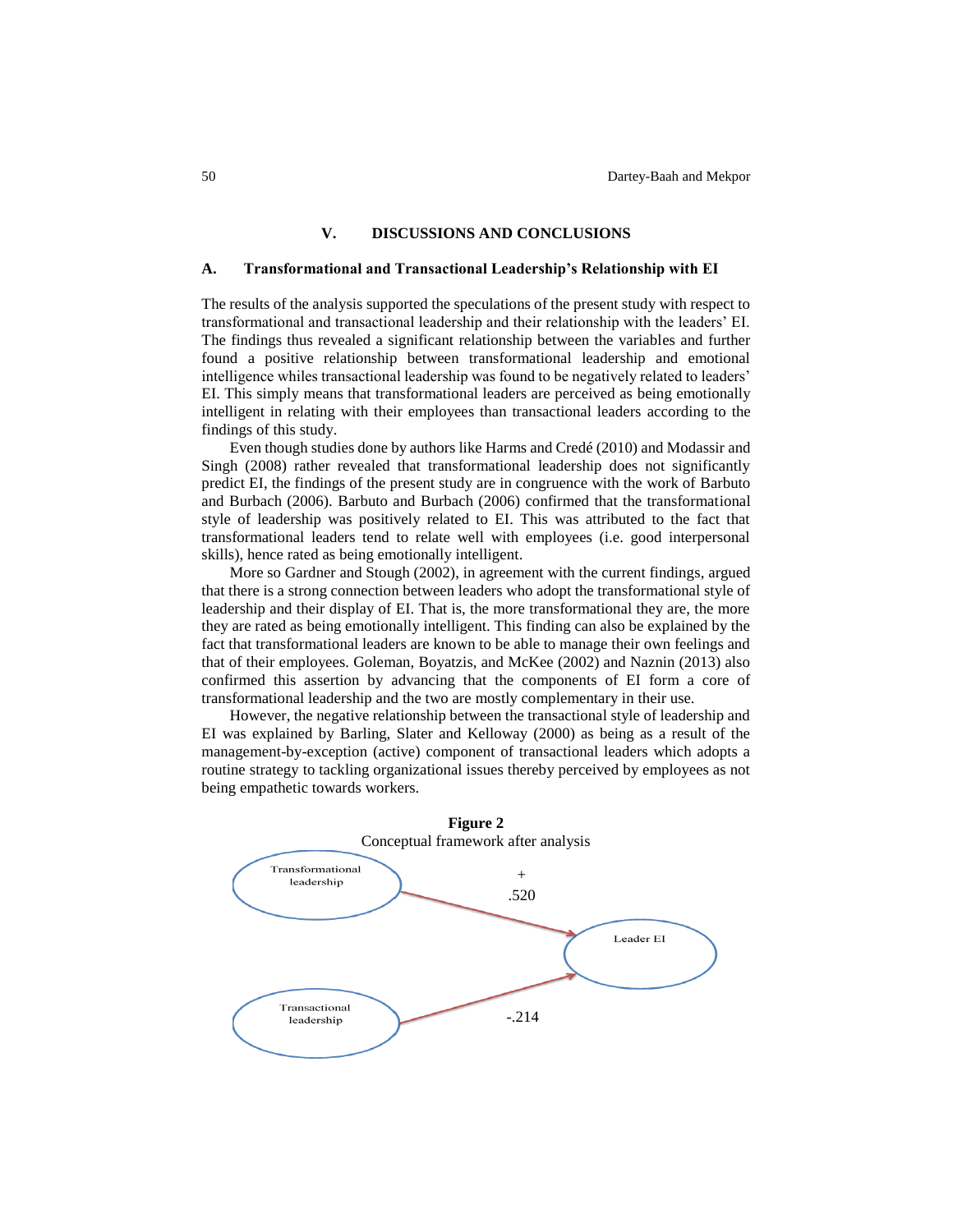### **V. DISCUSSIONS AND CONCLUSIONS**

#### **A. Transformational and Transactional Leadership's Relationship with EI**

The results of the analysis supported the speculations of the present study with respect to transformational and transactional leadership and their relationship with the leaders' EI. The findings thus revealed a significant relationship between the variables and further found a positive relationship between transformational leadership and emotional intelligence whiles transactional leadership was found to be negatively related to leaders' EI. This simply means that transformational leaders are perceived as being emotionally intelligent in relating with their employees than transactional leaders according to the findings of this study.

Even though studies done by authors like Harms and Credé (2010) and Modassir and Singh (2008) rather revealed that transformational leadership does not significantly predict EI, the findings of the present study are in congruence with the work of Barbuto and Burbach (2006). Barbuto and Burbach (2006) confirmed that the transformational style of leadership was positively related to EI. This was attributed to the fact that transformational leaders tend to relate well with employees (i.e. good interpersonal skills), hence rated as being emotionally intelligent.

More so Gardner and Stough (2002), in agreement with the current findings, argued that there is a strong connection between leaders who adopt the transformational style of leadership and their display of EI. That is, the more transformational they are, the more they are rated as being emotionally intelligent. This finding can also be explained by the fact that transformational leaders are known to be able to manage their own feelings and that of their employees. Goleman, Boyatzis, and McKee (2002) and Naznin (2013) also confirmed this assertion by advancing that the components of EI form a core of transformational leadership and the two are mostly complementary in their use.

However, the negative relationship between the transactional style of leadership and EI was explained by Barling, Slater and Kelloway (2000) as being as a result of the management-by-exception (active) component of transactional leaders which adopts a routine strategy to tackling organizational issues thereby perceived by employees as not being empathetic towards workers.

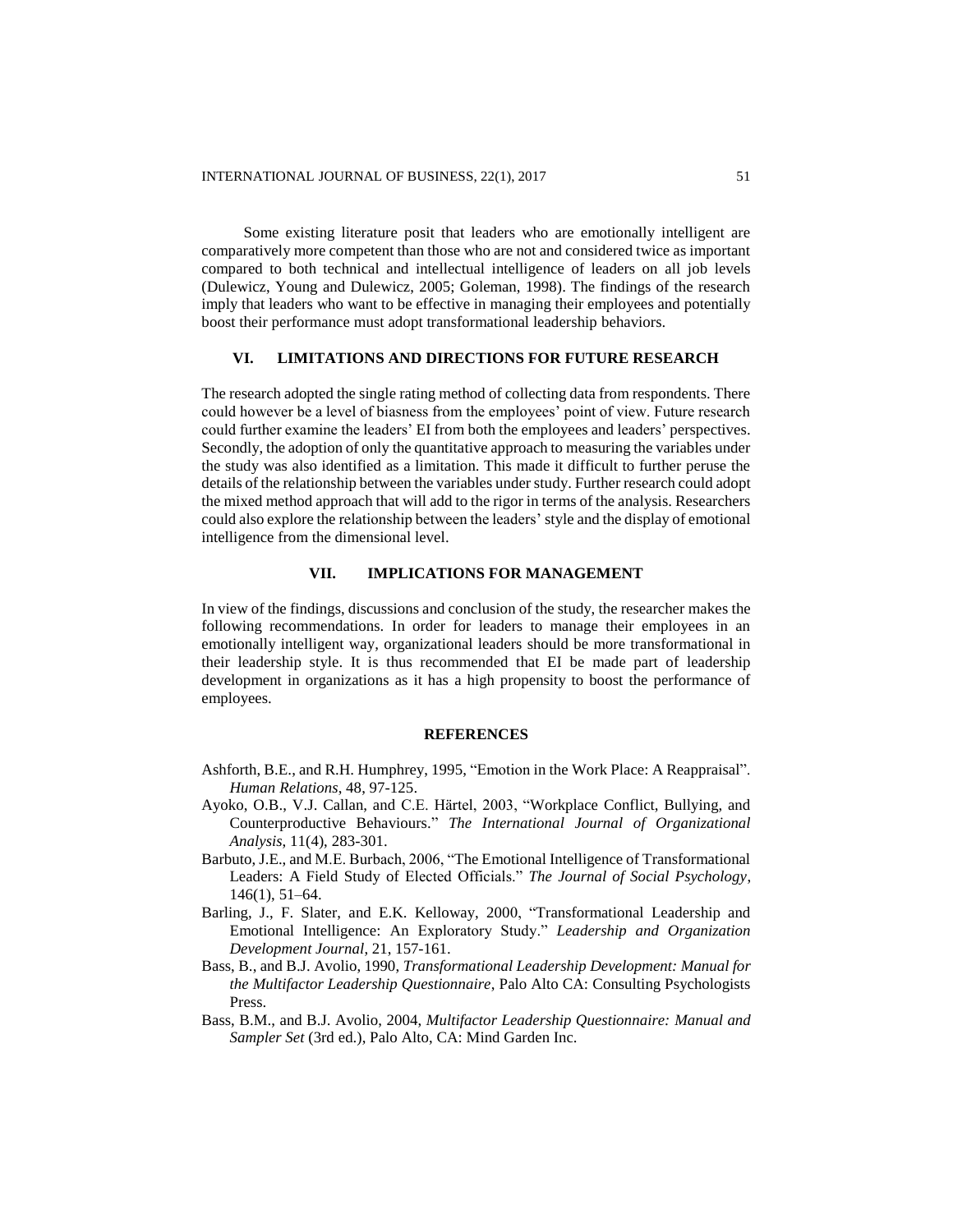Some existing literature posit that leaders who are emotionally intelligent are comparatively more competent than those who are not and considered twice as important compared to both technical and intellectual intelligence of leaders on all job levels (Dulewicz, Young and Dulewicz, 2005; Goleman, 1998). The findings of the research imply that leaders who want to be effective in managing their employees and potentially boost their performance must adopt transformational leadership behaviors.

### **VI. LIMITATIONS AND DIRECTIONS FOR FUTURE RESEARCH**

The research adopted the single rating method of collecting data from respondents. There could however be a level of biasness from the employees' point of view. Future research could further examine the leaders' EI from both the employees and leaders' perspectives. Secondly, the adoption of only the quantitative approach to measuring the variables under the study was also identified as a limitation. This made it difficult to further peruse the details of the relationship between the variables under study. Further research could adopt the mixed method approach that will add to the rigor in terms of the analysis. Researchers could also explore the relationship between the leaders' style and the display of emotional intelligence from the dimensional level.

### **VII. IMPLICATIONS FOR MANAGEMENT**

In view of the findings, discussions and conclusion of the study, the researcher makes the following recommendations. In order for leaders to manage their employees in an emotionally intelligent way, organizational leaders should be more transformational in their leadership style. It is thus recommended that EI be made part of leadership development in organizations as it has a high propensity to boost the performance of employees.

#### **REFERENCES**

- Ashforth, B.E., and R.H. Humphrey, 1995, "Emotion in the Work Place: A Reappraisal". *Human Relations*, 48, 97-125.
- Ayoko, O.B., V.J. Callan, and C.E. Härtel, 2003, "Workplace Conflict, Bullying, and Counterproductive Behaviours." *The International Journal of Organizational Analysis*, 11(4), 283-301.
- Barbuto, J.E., and M.E. Burbach, 2006, "The Emotional Intelligence of Transformational Leaders: A Field Study of Elected Officials." *The Journal of Social Psychology*, 146(1), 51–64.
- Barling, J., F. Slater, and E.K. Kelloway, 2000, "Transformational Leadership and Emotional Intelligence: An Exploratory Study." *Leadership and Organization Development Journal*, 21, 157-161.
- Bass, B., and B.J. Avolio, 1990, *Transformational Leadership Development: Manual for the Multifactor Leadership Questionnaire*, Palo Alto CA: Consulting Psychologists Press.
- Bass, B.M., and B.J. Avolio, 2004, *Multifactor Leadership Questionnaire: Manual and Sampler Set* (3rd ed.), Palo Alto, CA: Mind Garden Inc.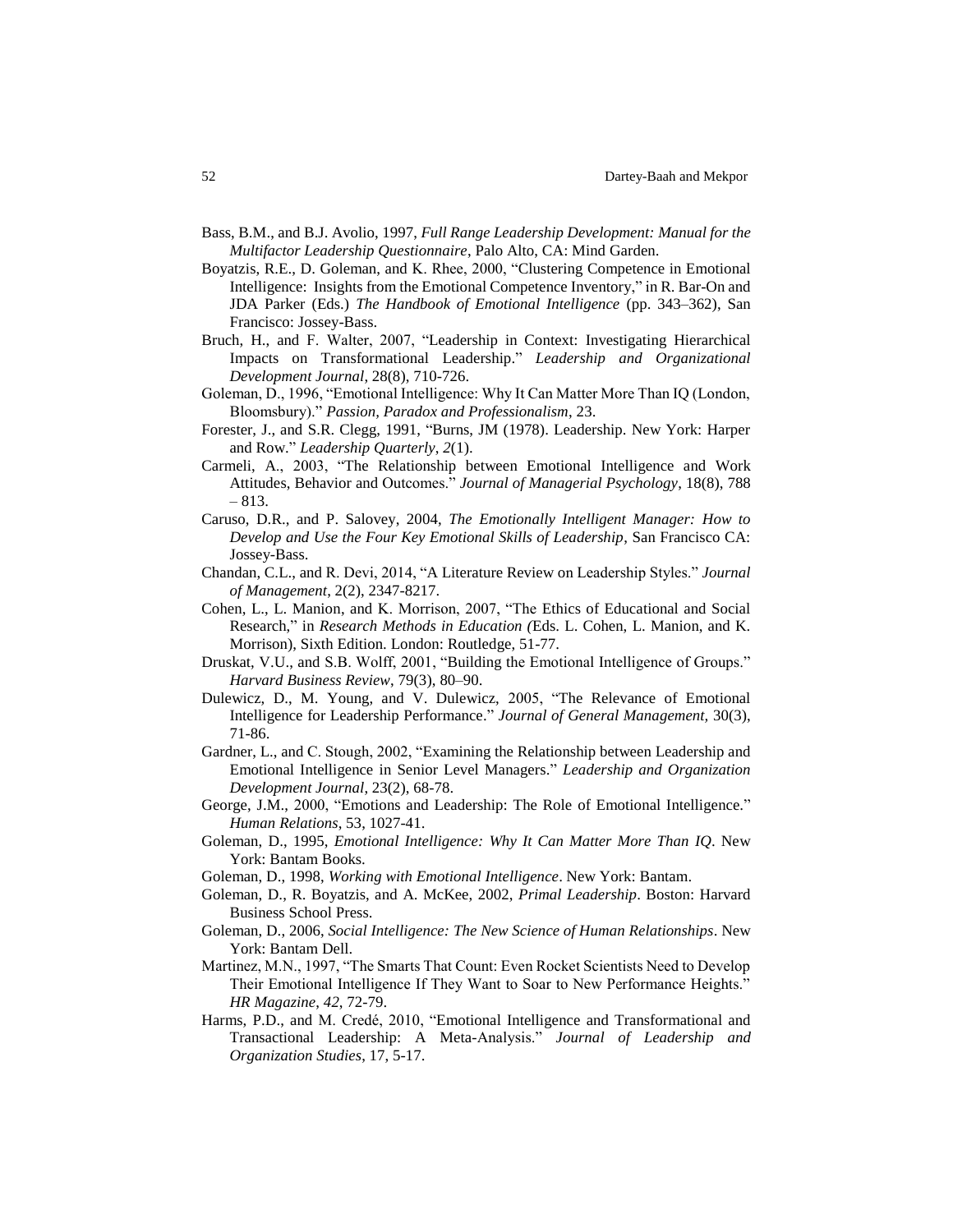- Bass, B.M., and B.J. Avolio, 1997, *Full Range Leadership Development: Manual for the Multifactor Leadership Questionnaire*, Palo Alto, CA: Mind Garden.
- Boyatzis, R.E., D. Goleman, and K. Rhee, 2000, "Clustering Competence in Emotional Intelligence: Insights from the Emotional Competence Inventory," in R. Bar-On and JDA Parker (Eds.) *The Handbook of Emotional Intelligence* (pp. 343–362), San Francisco: Jossey-Bass.
- Bruch, H., and F. Walter, 2007, "Leadership in Context: Investigating Hierarchical Impacts on Transformational Leadership." *Leadership and Organizational Development Journal*, 28(8), 710-726.
- Goleman, D., 1996, "Emotional Intelligence: Why It Can Matter More Than IQ (London, Bloomsbury)." *Passion, Paradox and Professionalism*, 23.
- Forester, J., and S.R. Clegg, 1991, "Burns, JM (1978). Leadership. New York: Harper and Row." *Leadership Quarterly*, *2*(1).
- Carmeli, A., 2003, "The Relationship between Emotional Intelligence and Work Attitudes, Behavior and Outcomes." *Journal of Managerial Psychology*, 18(8), 788 – 813.
- Caruso, D.R., and P. Salovey, 2004, *The Emotionally Intelligent Manager: How to Develop and Use the Four Key Emotional Skills of Leadership*, San Francisco CA: Jossey-Bass.
- Chandan, C.L., and R. Devi, 2014, "A Literature Review on Leadership Styles." *Journal of Management*, 2(2), 2347-8217.
- Cohen, L., L. Manion, and K. Morrison, 2007, "The Ethics of Educational and Social Research," in *Research Methods in Education (*Eds. L. Cohen, L. Manion, and K. Morrison), Sixth Edition. London: Routledge, 51-77.
- Druskat, V.U., and S.B. Wolff, 2001, "Building the Emotional Intelligence of Groups." *Harvard Business Review*, 79(3), 80–90.
- Dulewicz, D., M. Young, and V. Dulewicz, 2005, "The Relevance of Emotional Intelligence for Leadership Performance." *Journal of General Management,* 30(3), 71-86.
- Gardner, L., and C. Stough, 2002, "Examining the Relationship between Leadership and Emotional Intelligence in Senior Level Managers." *Leadership and Organization Development Journal*, 23(2), 68-78.
- George, J.M., 2000, "Emotions and Leadership: The Role of Emotional Intelligence." *Human Relations*, 53, 1027-41.
- Goleman, D., 1995, *Emotional Intelligence: Why It Can Matter More Than IQ*. New York: Bantam Books.
- Goleman, D., 1998, *Working with Emotional Intelligence*. New York: Bantam.
- Goleman, D., R. Boyatzis, and A. McKee, 2002, *Primal Leadership*. Boston: Harvard Business School Press.
- Goleman, D., 2006, *Social Intelligence: The New Science of Human Relationships*. New York: Bantam Dell.
- Martinez, M.N., 1997, "The Smarts That Count: Even Rocket Scientists Need to Develop Their Emotional Intelligence If They Want to Soar to New Performance Heights." *HR Magazine*, *42*, 72-79.
- Harms, P.D., and M. Credé, 2010, "Emotional Intelligence and Transformational and Transactional Leadership: A Meta-Analysis." *Journal of Leadership and Organization Studies*, 17, 5-17.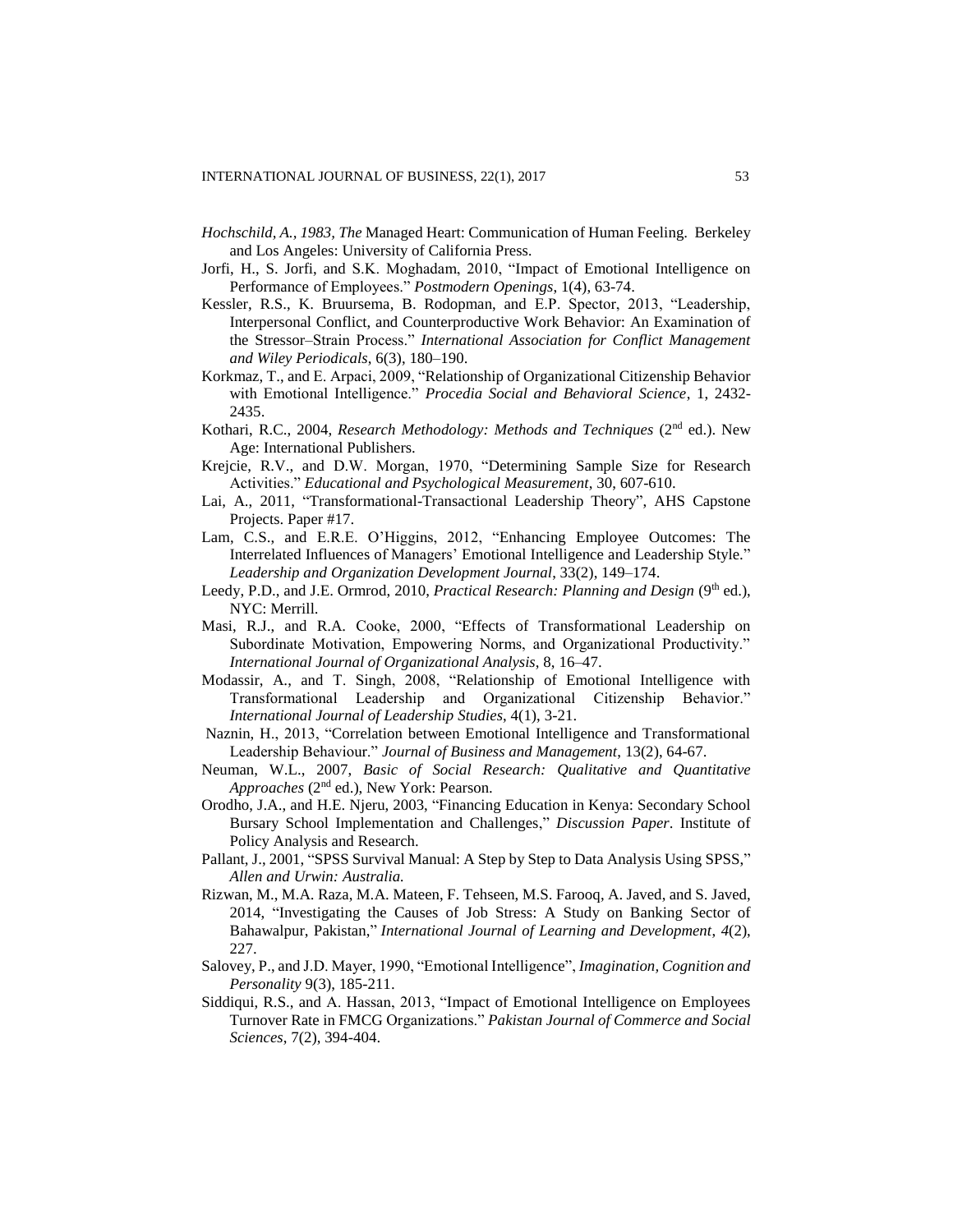- *Hochschild, A., 1983, The* Managed Heart: Communication of Human Feeling. Berkeley and Los Angeles: University of California Press*.*
- Jorfi, H., S. Jorfi, and S.K. Moghadam, 2010, "Impact of Emotional Intelligence on Performance of Employees." *Postmodern Openings*, 1(4), 63-74.
- Kessler, R.S., K. Bruursema, B. Rodopman, and E.P. Spector, 2013, "Leadership, Interpersonal Conflict, and Counterproductive Work Behavior: An Examination of the Stressor–Strain Process." *International Association for Conflict Management and Wiley Periodicals*, 6(3), 180–190.
- Korkmaz, T., and E. Arpaci, 2009, "Relationship of Organizational Citizenship Behavior with Emotional Intelligence." *Procedia Social and Behavioral Science*, 1, 2432- 2435.
- Kothari, R.C., 2004, *Research Methodology: Methods and Techniques* (2nd ed.). New Age: International Publishers.
- Krejcie, R.V., and D.W. Morgan, 1970, "Determining Sample Size for Research Activities." *Educational and Psychological Measurement*, 30, 607-610.
- Lai, A., 2011, "Transformational-Transactional Leadership Theory", AHS Capstone Projects. Paper #17.
- Lam, C.S., and E.R.E. O'Higgins, 2012, "Enhancing Employee Outcomes: The Interrelated Influences of Managers' Emotional Intelligence and Leadership Style." *Leadership and Organization Development Journal*, 33(2), 149–174.
- Leedy, P.D., and J.E. Ormrod, 2010, *Practical Research: Planning and Design* (9<sup>th</sup> ed.), NYC: Merrill.
- Masi, R.J., and R.A. Cooke, 2000, "Effects of Transformational Leadership on Subordinate Motivation, Empowering Norms, and Organizational Productivity." *International Journal of Organizational Analysis*, 8, 16–47.
- Modassir, A., and T. Singh, 2008, "Relationship of Emotional Intelligence with Transformational Leadership and Organizational Citizenship Behavior." *International Journal of Leadership Studies*, 4(1), 3-21.
- Naznin, H., 2013, "Correlation between Emotional Intelligence and Transformational Leadership Behaviour." *Journal of Business and Management*, 13(2), 64-67.
- Neuman, W.L., 2007, *Basic of Social Research: Qualitative and Quantitative Approaches* (2nd ed.), New York: Pearson.
- Orodho, J.A., and H.E. Njeru, 2003, "Financing Education in Kenya: Secondary School Bursary School Implementation and Challenges," *Discussion Paper*. Institute of Policy Analysis and Research.
- Pallant, J., 2001, "SPSS Survival Manual: A Step by Step to Data Analysis Using SPSS," *Allen and Urwin: Australia.*
- Rizwan, M., M.A. Raza, M.A. Mateen, F. Tehseen, M.S. Farooq, A. Javed, and S. Javed, 2014, "Investigating the Causes of Job Stress: A Study on Banking Sector of Bahawalpur, Pakistan," *International Journal of Learning and Development*, *4*(2), 227.
- Salovey, P., and J.D. Mayer, 1990, "Emotional Intelligence", *Imagination, Cognition and Personality* 9(3), 185-211.
- Siddiqui, R.S., and A. Hassan, 2013, "Impact of Emotional Intelligence on Employees Turnover Rate in FMCG Organizations." *Pakistan Journal of Commerce and Social Sciences*, 7(2), 394-404.